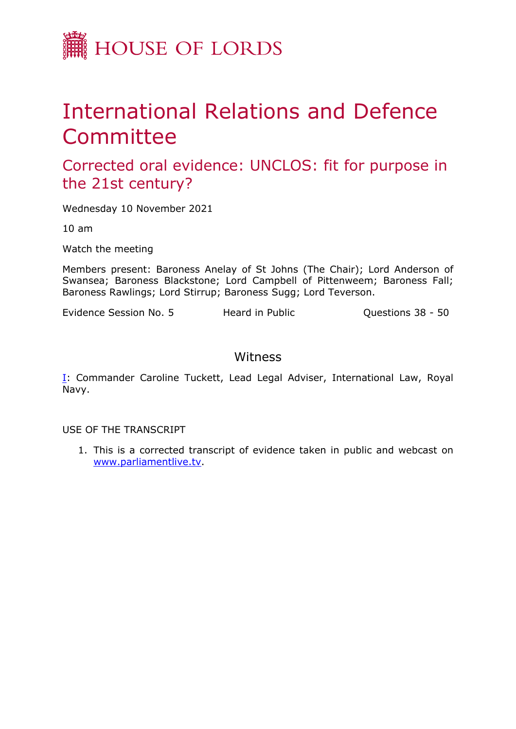

# International Relations and Defence Committee

Corrected oral evidence: UNCLOS: fit for purpose in the 21st century?

Wednesday 10 November 2021

10 am

Watch the meeting

Members present: Baroness Anelay of St Johns (The Chair); Lord Anderson of Swansea; Baroness Blackstone; Lord Campbell of Pittenweem; Baroness Fall; Baroness Rawlings; Lord Stirrup; Baroness Sugg; Lord Teverson.

Evidence Session No. 5 Heard in Public Cuestions 38 - 50

# Witness

[I:](#page-1-0) Commander Caroline Tuckett, Lead Legal Adviser, International Law, Royal Navy.

USE OF THE TRANSCRIPT

1. This is a corrected transcript of evidence taken in public and webcast on [www.parliamentlive.tv](http://www.parliamentlive.tv/).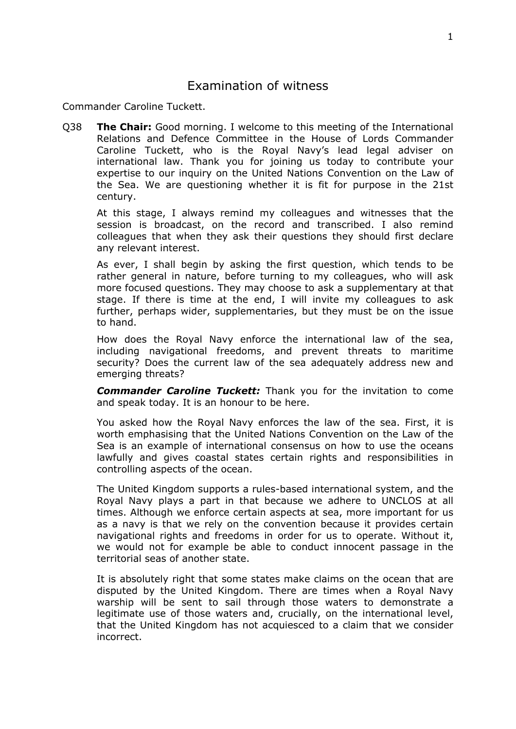## <span id="page-1-0"></span>Examination of witness

Commander Caroline Tuckett.

Q38 **The Chair:** Good morning. I welcome to this meeting of the International Relations and Defence Committee in the House of Lords Commander Caroline Tuckett, who is the Royal Navy's lead legal adviser on international law. Thank you for joining us today to contribute your expertise to our inquiry on the United Nations Convention on the Law of the Sea. We are questioning whether it is fit for purpose in the 21st century.

At this stage, I always remind my colleagues and witnesses that the session is broadcast, on the record and transcribed. I also remind colleagues that when they ask their questions they should first declare any relevant interest.

As ever, I shall begin by asking the first question, which tends to be rather general in nature, before turning to my colleagues, who will ask more focused questions. They may choose to ask a supplementary at that stage. If there is time at the end, I will invite my colleagues to ask further, perhaps wider, supplementaries, but they must be on the issue to hand.

How does the Royal Navy enforce the international law of the sea, including navigational freedoms, and prevent threats to maritime security? Does the current law of the sea adequately address new and emerging threats?

*Commander Caroline Tuckett:* Thank you for the invitation to come and speak today. It is an honour to be here.

You asked how the Royal Navy enforces the law of the sea. First, it is worth emphasising that the United Nations Convention on the Law of the Sea is an example of international consensus on how to use the oceans lawfully and gives coastal states certain rights and responsibilities in controlling aspects of the ocean.

The United Kingdom supports a rules-based international system, and the Royal Navy plays a part in that because we adhere to UNCLOS at all times. Although we enforce certain aspects at sea, more important for us as a navy is that we rely on the convention because it provides certain navigational rights and freedoms in order for us to operate. Without it, we would not for example be able to conduct innocent passage in the territorial seas of another state.

It is absolutely right that some states make claims on the ocean that are disputed by the United Kingdom. There are times when a Royal Navy warship will be sent to sail through those waters to demonstrate a legitimate use of those waters and, crucially, on the international level, that the United Kingdom has not acquiesced to a claim that we consider incorrect.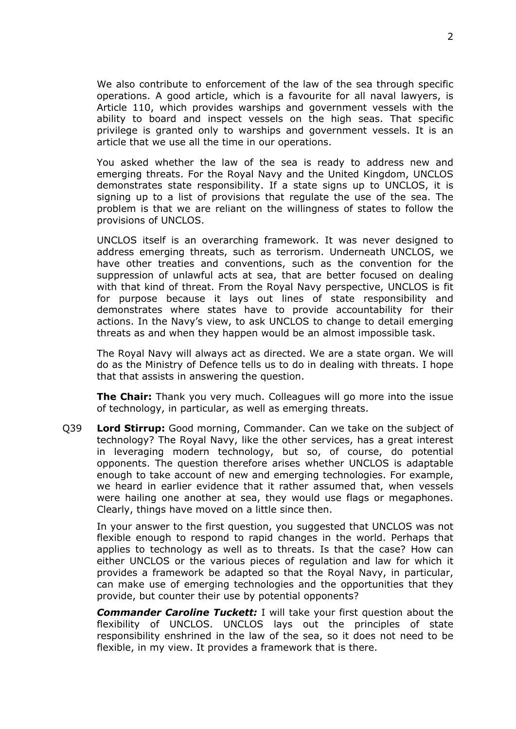We also contribute to enforcement of the law of the sea through specific operations. A good article, which is a favourite for all naval lawyers, is Article 110, which provides warships and government vessels with the ability to board and inspect vessels on the high seas. That specific privilege is granted only to warships and government vessels. It is an article that we use all the time in our operations.

You asked whether the law of the sea is ready to address new and emerging threats. For the Royal Navy and the United Kingdom, UNCLOS demonstrates state responsibility. If a state signs up to UNCLOS, it is signing up to a list of provisions that regulate the use of the sea. The problem is that we are reliant on the willingness of states to follow the provisions of UNCLOS.

UNCLOS itself is an overarching framework. It was never designed to address emerging threats, such as terrorism. Underneath UNCLOS, we have other treaties and conventions, such as the convention for the suppression of unlawful acts at sea, that are better focused on dealing with that kind of threat. From the Royal Navy perspective, UNCLOS is fit for purpose because it lays out lines of state responsibility and demonstrates where states have to provide accountability for their actions. In the Navy's view, to ask UNCLOS to change to detail emerging threats as and when they happen would be an almost impossible task.

The Royal Navy will always act as directed. We are a state organ. We will do as the Ministry of Defence tells us to do in dealing with threats. I hope that that assists in answering the question.

**The Chair:** Thank you very much. Colleagues will go more into the issue of technology, in particular, as well as emerging threats.

Q39 **Lord Stirrup:** Good morning, Commander. Can we take on the subject of technology? The Royal Navy, like the other services, has a great interest in leveraging modern technology, but so, of course, do potential opponents. The question therefore arises whether UNCLOS is adaptable enough to take account of new and emerging technologies. For example, we heard in earlier evidence that it rather assumed that, when vessels were hailing one another at sea, they would use flags or megaphones. Clearly, things have moved on a little since then.

In your answer to the first question, you suggested that UNCLOS was not flexible enough to respond to rapid changes in the world. Perhaps that applies to technology as well as to threats. Is that the case? How can either UNCLOS or the various pieces of regulation and law for which it provides a framework be adapted so that the Royal Navy, in particular, can make use of emerging technologies and the opportunities that they provide, but counter their use by potential opponents?

*Commander Caroline Tuckett:* I will take your first question about the flexibility of UNCLOS. UNCLOS lays out the principles of state responsibility enshrined in the law of the sea, so it does not need to be flexible, in my view. It provides a framework that is there.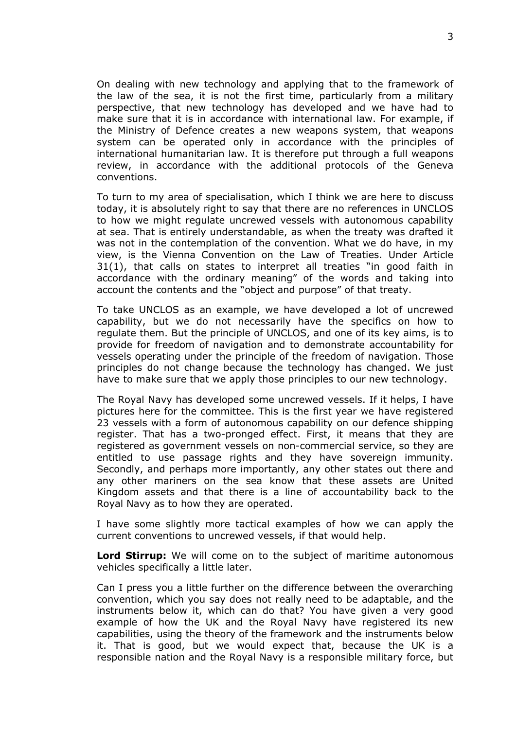On dealing with new technology and applying that to the framework of the law of the sea, it is not the first time, particularly from a military perspective, that new technology has developed and we have had to make sure that it is in accordance with international law. For example, if the Ministry of Defence creates a new weapons system, that weapons system can be operated only in accordance with the principles of international humanitarian law. It is therefore put through a full weapons review, in accordance with the additional protocols of the Geneva conventions.

To turn to my area of specialisation, which I think we are here to discuss today, it is absolutely right to say that there are no references in UNCLOS to how we might regulate uncrewed vessels with autonomous capability at sea. That is entirely understandable, as when the treaty was drafted it was not in the contemplation of the convention. What we do have, in my view, is the Vienna Convention on the Law of Treaties. Under Article 31(1), that calls on states to interpret all treaties "in good faith in accordance with the ordinary meaning" of the words and taking into account the contents and the "object and purpose" of that treaty.

To take UNCLOS as an example, we have developed a lot of uncrewed capability, but we do not necessarily have the specifics on how to regulate them. But the principle of UNCLOS, and one of its key aims, is to provide for freedom of navigation and to demonstrate accountability for vessels operating under the principle of the freedom of navigation. Those principles do not change because the technology has changed. We just have to make sure that we apply those principles to our new technology.

The Royal Navy has developed some uncrewed vessels. If it helps, I have pictures here for the committee. This is the first year we have registered 23 vessels with a form of autonomous capability on our defence shipping register. That has a two-pronged effect. First, it means that they are registered as government vessels on non-commercial service, so they are entitled to use passage rights and they have sovereign immunity. Secondly, and perhaps more importantly, any other states out there and any other mariners on the sea know that these assets are United Kingdom assets and that there is a line of accountability back to the Royal Navy as to how they are operated.

I have some slightly more tactical examples of how we can apply the current conventions to uncrewed vessels, if that would help.

**Lord Stirrup:** We will come on to the subject of maritime autonomous vehicles specifically a little later.

Can I press you a little further on the difference between the overarching convention, which you say does not really need to be adaptable, and the instruments below it, which can do that? You have given a very good example of how the UK and the Royal Navy have registered its new capabilities, using the theory of the framework and the instruments below it. That is good, but we would expect that, because the UK is a responsible nation and the Royal Navy is a responsible military force, but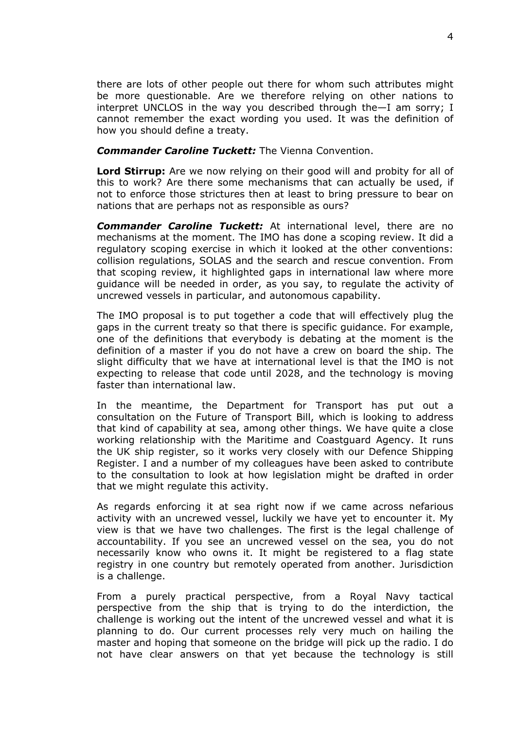there are lots of other people out there for whom such attributes might be more questionable. Are we therefore relying on other nations to interpret UNCLOS in the way you described through the—I am sorry; I cannot remember the exact wording you used. It was the definition of how you should define a treaty.

#### *Commander Caroline Tuckett:* The Vienna Convention.

**Lord Stirrup:** Are we now relying on their good will and probity for all of this to work? Are there some mechanisms that can actually be used, if not to enforce those strictures then at least to bring pressure to bear on nations that are perhaps not as responsible as ours?

*Commander Caroline Tuckett:* At international level, there are no mechanisms at the moment. The IMO has done a scoping review. It did a regulatory scoping exercise in which it looked at the other conventions: collision regulations, SOLAS and the search and rescue convention. From that scoping review, it highlighted gaps in international law where more guidance will be needed in order, as you say, to regulate the activity of uncrewed vessels in particular, and autonomous capability.

The IMO proposal is to put together a code that will effectively plug the gaps in the current treaty so that there is specific guidance. For example, one of the definitions that everybody is debating at the moment is the definition of a master if you do not have a crew on board the ship. The slight difficulty that we have at international level is that the IMO is not expecting to release that code until 2028, and the technology is moving faster than international law.

In the meantime, the Department for Transport has put out a consultation on the Future of Transport Bill, which is looking to address that kind of capability at sea, among other things. We have quite a close working relationship with the Maritime and Coastguard Agency. It runs the UK ship register, so it works very closely with our Defence Shipping Register. I and a number of my colleagues have been asked to contribute to the consultation to look at how legislation might be drafted in order that we might regulate this activity.

As regards enforcing it at sea right now if we came across nefarious activity with an uncrewed vessel, luckily we have yet to encounter it. My view is that we have two challenges. The first is the legal challenge of accountability. If you see an uncrewed vessel on the sea, you do not necessarily know who owns it. It might be registered to a flag state registry in one country but remotely operated from another. Jurisdiction is a challenge.

From a purely practical perspective, from a Royal Navy tactical perspective from the ship that is trying to do the interdiction, the challenge is working out the intent of the uncrewed vessel and what it is planning to do. Our current processes rely very much on hailing the master and hoping that someone on the bridge will pick up the radio. I do not have clear answers on that yet because the technology is still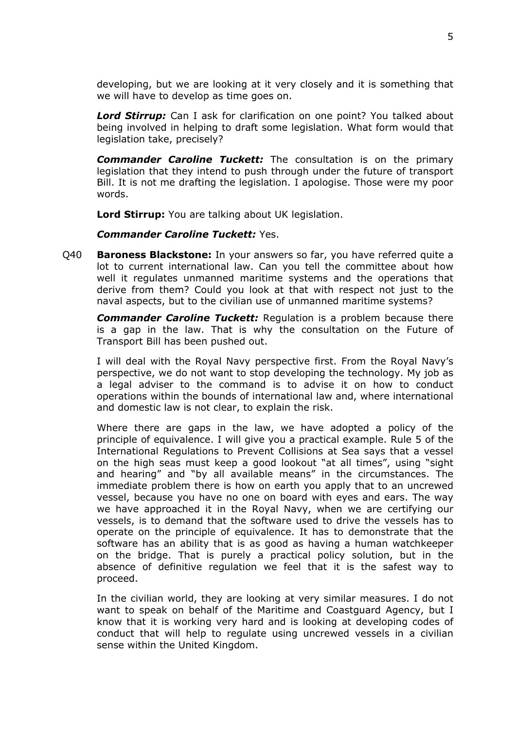developing, but we are looking at it very closely and it is something that we will have to develop as time goes on.

*Lord Stirrup:* Can I ask for clarification on one point? You talked about being involved in helping to draft some legislation. What form would that legislation take, precisely?

*Commander Caroline Tuckett:* The consultation is on the primary legislation that they intend to push through under the future of transport Bill. It is not me drafting the legislation. I apologise. Those were my poor words.

**Lord Stirrup:** You are talking about UK legislation.

*Commander Caroline Tuckett:* Yes.

Q40 **Baroness Blackstone:** In your answers so far, you have referred quite a lot to current international law. Can you tell the committee about how well it regulates unmanned maritime systems and the operations that derive from them? Could you look at that with respect not just to the naval aspects, but to the civilian use of unmanned maritime systems?

*Commander Caroline Tuckett:* Regulation is a problem because there is a gap in the law. That is why the consultation on the Future of Transport Bill has been pushed out.

I will deal with the Royal Navy perspective first. From the Royal Navy's perspective, we do not want to stop developing the technology. My job as a legal adviser to the command is to advise it on how to conduct operations within the bounds of international law and, where international and domestic law is not clear, to explain the risk.

Where there are gaps in the law, we have adopted a policy of the principle of equivalence. I will give you a practical example. Rule 5 of the International Regulations to Prevent Collisions at Sea says that a vessel on the high seas must keep a good lookout "at all times", using "sight and hearing" and "by all available means" in the circumstances. The immediate problem there is how on earth you apply that to an uncrewed vessel, because you have no one on board with eyes and ears. The way we have approached it in the Royal Navy, when we are certifying our vessels, is to demand that the software used to drive the vessels has to operate on the principle of equivalence. It has to demonstrate that the software has an ability that is as good as having a human watchkeeper on the bridge. That is purely a practical policy solution, but in the absence of definitive regulation we feel that it is the safest way to proceed.

In the civilian world, they are looking at very similar measures. I do not want to speak on behalf of the Maritime and Coastguard Agency, but I know that it is working very hard and is looking at developing codes of conduct that will help to regulate using uncrewed vessels in a civilian sense within the United Kingdom.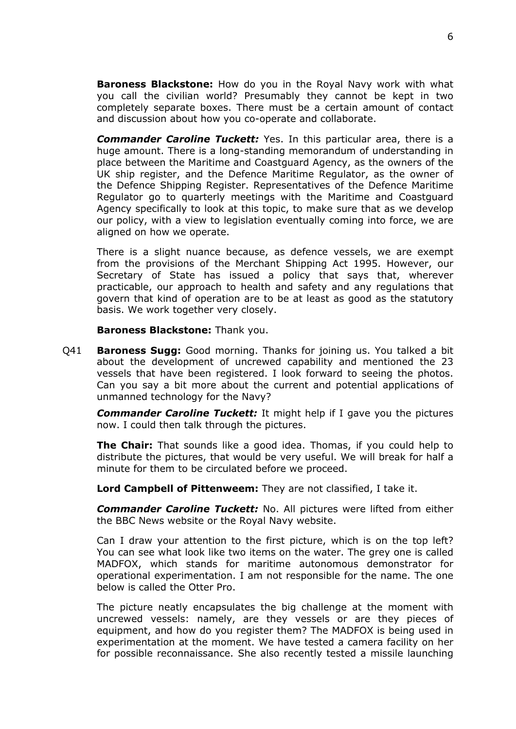**Baroness Blackstone:** How do you in the Royal Navy work with what you call the civilian world? Presumably they cannot be kept in two completely separate boxes. There must be a certain amount of contact and discussion about how you co-operate and collaborate.

*Commander Caroline Tuckett:* Yes. In this particular area, there is a huge amount. There is a long-standing memorandum of understanding in place between the Maritime and Coastguard Agency, as the owners of the UK ship register, and the Defence Maritime Regulator, as the owner of the Defence Shipping Register. Representatives of the Defence Maritime Regulator go to quarterly meetings with the Maritime and Coastguard Agency specifically to look at this topic, to make sure that as we develop our policy, with a view to legislation eventually coming into force, we are aligned on how we operate.

There is a slight nuance because, as defence vessels, we are exempt from the provisions of the Merchant Shipping Act 1995. However, our Secretary of State has issued a policy that says that, wherever practicable, our approach to health and safety and any regulations that govern that kind of operation are to be at least as good as the statutory basis. We work together very closely.

**Baroness Blackstone:** Thank you.

Q41 **Baroness Sugg:** Good morning. Thanks for joining us. You talked a bit about the development of uncrewed capability and mentioned the 23 vessels that have been registered. I look forward to seeing the photos. Can you say a bit more about the current and potential applications of unmanned technology for the Navy?

*Commander Caroline Tuckett:* It might help if I gave you the pictures now. I could then talk through the pictures.

**The Chair:** That sounds like a good idea. Thomas, if you could help to distribute the pictures, that would be very useful. We will break for half a minute for them to be circulated before we proceed.

**Lord Campbell of Pittenweem:** They are not classified, I take it.

*Commander Caroline Tuckett:* No. All pictures were lifted from either the BBC News website or the Royal Navy website.

Can I draw your attention to the first picture, which is on the top left? You can see what look like two items on the water. The grey one is called MADFOX, which stands for maritime autonomous demonstrator for operational experimentation. I am not responsible for the name. The one below is called the Otter Pro.

The picture neatly encapsulates the big challenge at the moment with uncrewed vessels: namely, are they vessels or are they pieces of equipment, and how do you register them? The MADFOX is being used in experimentation at the moment. We have tested a camera facility on her for possible reconnaissance. She also recently tested a missile launching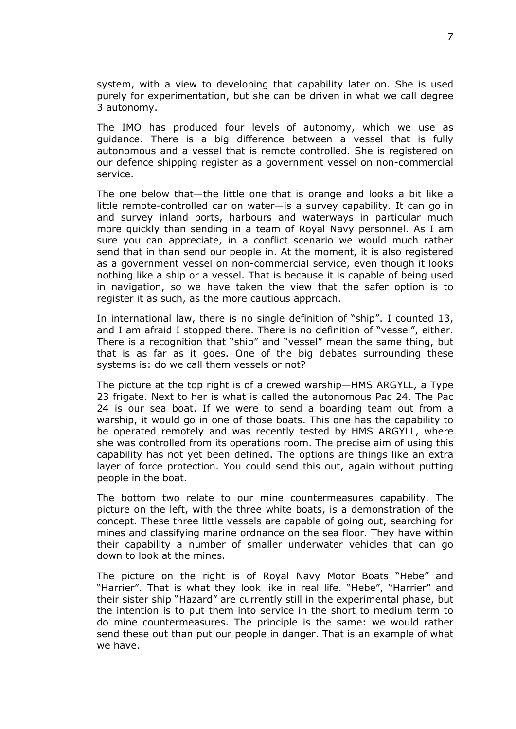system, with a view to developing that capability later on. She is used purely for experimentation, but she can be driven in what we call degree 3 autonomy.

The IMO has produced four levels of autonomy, which we use as guidance. There is a big difference between a vessel that is fully autonomous and a vessel that is remote controlled. She is registered on our defence shipping register as a government vessel on non-commercial service.

The one below that—the little one that is orange and looks a bit like a little remote-controlled car on water—is a survey capability. It can go in and survey inland ports, harbours and waterways in particular much more quickly than sending in a team of Royal Navy personnel. As I am sure you can appreciate, in a conflict scenario we would much rather send that in than send our people in. At the moment, it is also registered as a government vessel on non-commercial service, even though it looks nothing like a ship or a vessel. That is because it is capable of being used in navigation, so we have taken the view that the safer option is to register it as such, as the more cautious approach.

In international law, there is no single definition of "ship". I counted 13, and I am afraid I stopped there. There is no definition of "vessel", either. There is a recognition that "ship" and "vessel" mean the same thing, but that is as far as it goes. One of the big debates surrounding these systems is: do we call them vessels or not?

The picture at the top right is of a crewed warship—HMS ARGYLL, a Type 23 frigate. Next to her is what is called the autonomous Pac 24. The Pac 24 is our sea boat. If we were to send a boarding team out from a warship, it would go in one of those boats. This one has the capability to be operated remotely and was recently tested by HMS ARGYLL, where she was controlled from its operations room. The precise aim of using this capability has not yet been defined. The options are things like an extra layer of force protection. You could send this out, again without putting people in the boat.

The bottom two relate to our mine countermeasures capability. The picture on the left, with the three white boats, is a demonstration of the concept. These three little vessels are capable of going out, searching for mines and classifying marine ordnance on the sea floor. They have within their capability a number of smaller underwater vehicles that can go down to look at the mines.

The picture on the right is of Royal Navy Motor Boats "Hebe" and "Harrier". That is what they look like in real life. "Hebe", "Harrier" and their sister ship "Hazard" are currently still in the experimental phase, but the intention is to put them into service in the short to medium term to do mine countermeasures. The principle is the same: we would rather send these out than put our people in danger. That is an example of what we have.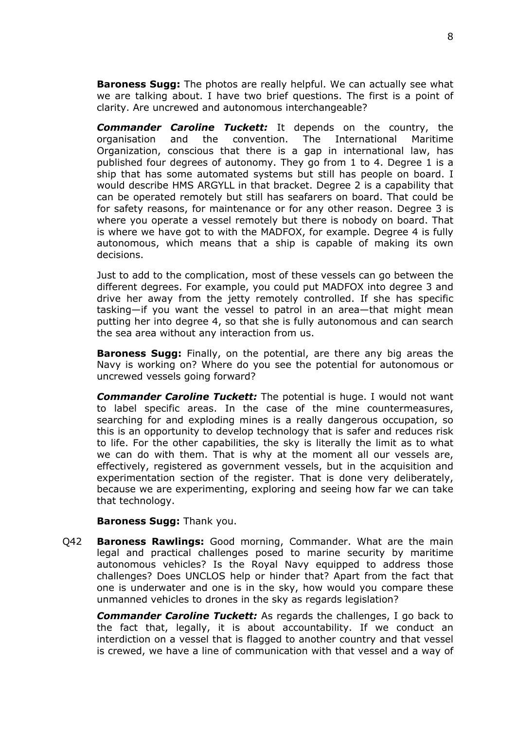**Baroness Sugg:** The photos are really helpful. We can actually see what we are talking about. I have two brief questions. The first is a point of clarity. Are uncrewed and autonomous interchangeable?

*Commander Caroline Tuckett:* It depends on the country, the organisation and the convention. The International Maritime Organization, conscious that there is a gap in international law, has published four degrees of autonomy. They go from 1 to 4. Degree 1 is a ship that has some automated systems but still has people on board. I would describe HMS ARGYLL in that bracket. Degree 2 is a capability that can be operated remotely but still has seafarers on board. That could be for safety reasons, for maintenance or for any other reason. Degree 3 is where you operate a vessel remotely but there is nobody on board. That is where we have got to with the MADFOX, for example. Degree 4 is fully autonomous, which means that a ship is capable of making its own decisions.

Just to add to the complication, most of these vessels can go between the different degrees. For example, you could put MADFOX into degree 3 and drive her away from the jetty remotely controlled. If she has specific tasking—if you want the vessel to patrol in an area—that might mean putting her into degree 4, so that she is fully autonomous and can search the sea area without any interaction from us.

**Baroness Sugg:** Finally, on the potential, are there any big areas the Navy is working on? Where do you see the potential for autonomous or uncrewed vessels going forward?

*Commander Caroline Tuckett:* The potential is huge. I would not want to label specific areas. In the case of the mine countermeasures, searching for and exploding mines is a really dangerous occupation, so this is an opportunity to develop technology that is safer and reduces risk to life. For the other capabilities, the sky is literally the limit as to what we can do with them. That is why at the moment all our vessels are, effectively, registered as government vessels, but in the acquisition and experimentation section of the register. That is done very deliberately, because we are experimenting, exploring and seeing how far we can take that technology.

#### **Baroness Sugg:** Thank you.

Q42 **Baroness Rawlings:** Good morning, Commander. What are the main legal and practical challenges posed to marine security by maritime autonomous vehicles? Is the Royal Navy equipped to address those challenges? Does UNCLOS help or hinder that? Apart from the fact that one is underwater and one is in the sky, how would you compare these unmanned vehicles to drones in the sky as regards legislation?

*Commander Caroline Tuckett:* As regards the challenges, I go back to the fact that, legally, it is about accountability. If we conduct an interdiction on a vessel that is flagged to another country and that vessel is crewed, we have a line of communication with that vessel and a way of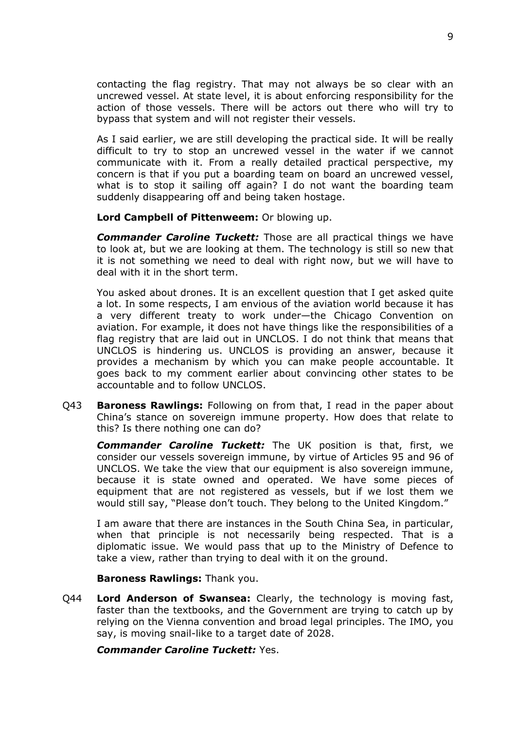contacting the flag registry. That may not always be so clear with an uncrewed vessel. At state level, it is about enforcing responsibility for the action of those vessels. There will be actors out there who will try to bypass that system and will not register their vessels.

As I said earlier, we are still developing the practical side. It will be really difficult to try to stop an uncrewed vessel in the water if we cannot communicate with it. From a really detailed practical perspective, my concern is that if you put a boarding team on board an uncrewed vessel, what is to stop it sailing off again? I do not want the boarding team suddenly disappearing off and being taken hostage.

**Lord Campbell of Pittenweem:** Or blowing up.

*Commander Caroline Tuckett:* Those are all practical things we have to look at, but we are looking at them. The technology is still so new that it is not something we need to deal with right now, but we will have to deal with it in the short term.

You asked about drones. It is an excellent question that I get asked quite a lot. In some respects, I am envious of the aviation world because it has a very different treaty to work under—the Chicago Convention on aviation. For example, it does not have things like the responsibilities of a flag registry that are laid out in UNCLOS. I do not think that means that UNCLOS is hindering us. UNCLOS is providing an answer, because it provides a mechanism by which you can make people accountable. It goes back to my comment earlier about convincing other states to be accountable and to follow UNCLOS.

Q43 **Baroness Rawlings:** Following on from that, I read in the paper about China's stance on sovereign immune property. How does that relate to this? Is there nothing one can do?

*Commander Caroline Tuckett:* The UK position is that, first, we consider our vessels sovereign immune, by virtue of Articles 95 and 96 of UNCLOS. We take the view that our equipment is also sovereign immune, because it is state owned and operated. We have some pieces of equipment that are not registered as vessels, but if we lost them we would still say, "Please don't touch. They belong to the United Kingdom."

I am aware that there are instances in the South China Sea, in particular, when that principle is not necessarily being respected. That is a diplomatic issue. We would pass that up to the Ministry of Defence to take a view, rather than trying to deal with it on the ground.

**Baroness Rawlings:** Thank you.

Q44 **Lord Anderson of Swansea:** Clearly, the technology is moving fast, faster than the textbooks, and the Government are trying to catch up by relying on the Vienna convention and broad legal principles. The IMO, you say, is moving snail-like to a target date of 2028.

*Commander Caroline Tuckett:* Yes.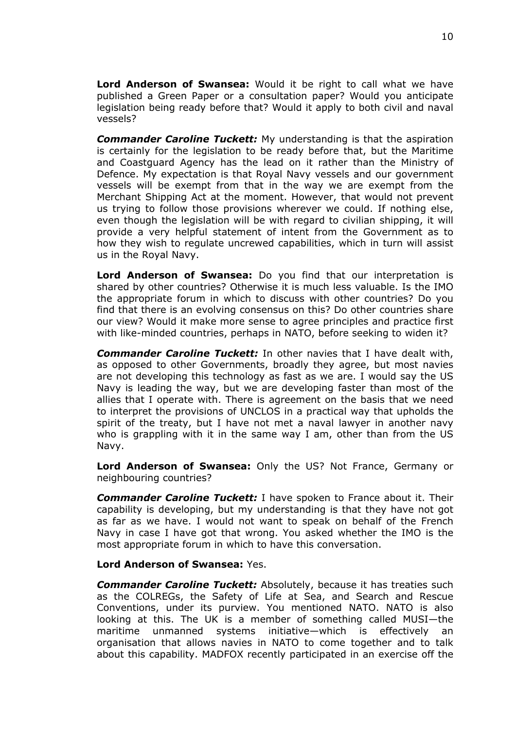**Lord Anderson of Swansea:** Would it be right to call what we have published a Green Paper or a consultation paper? Would you anticipate legislation being ready before that? Would it apply to both civil and naval vessels?

*Commander Caroline Tuckett:* My understanding is that the aspiration is certainly for the legislation to be ready before that, but the Maritime and Coastguard Agency has the lead on it rather than the Ministry of Defence. My expectation is that Royal Navy vessels and our government vessels will be exempt from that in the way we are exempt from the Merchant Shipping Act at the moment. However, that would not prevent us trying to follow those provisions wherever we could. If nothing else, even though the legislation will be with regard to civilian shipping, it will provide a very helpful statement of intent from the Government as to how they wish to regulate uncrewed capabilities, which in turn will assist us in the Royal Navy.

**Lord Anderson of Swansea:** Do you find that our interpretation is shared by other countries? Otherwise it is much less valuable. Is the IMO the appropriate forum in which to discuss with other countries? Do you find that there is an evolving consensus on this? Do other countries share our view? Would it make more sense to agree principles and practice first with like-minded countries, perhaps in NATO, before seeking to widen it?

*Commander Caroline Tuckett:* In other navies that I have dealt with, as opposed to other Governments, broadly they agree, but most navies are not developing this technology as fast as we are. I would say the US Navy is leading the way, but we are developing faster than most of the allies that I operate with. There is agreement on the basis that we need to interpret the provisions of UNCLOS in a practical way that upholds the spirit of the treaty, but I have not met a naval lawyer in another navy who is grappling with it in the same way I am, other than from the US Navy.

**Lord Anderson of Swansea:** Only the US? Not France, Germany or neighbouring countries?

*Commander Caroline Tuckett:* I have spoken to France about it. Their capability is developing, but my understanding is that they have not got as far as we have. I would not want to speak on behalf of the French Navy in case I have got that wrong. You asked whether the IMO is the most appropriate forum in which to have this conversation.

#### **Lord Anderson of Swansea:** Yes.

*Commander Caroline Tuckett:* Absolutely, because it has treaties such as the COLREGs, the Safety of Life at Sea, and Search and Rescue Conventions, under its purview. You mentioned NATO. NATO is also looking at this. The UK is a member of something called MUSI—the maritime unmanned systems initiative—which is effectively an organisation that allows navies in NATO to come together and to talk about this capability. MADFOX recently participated in an exercise off the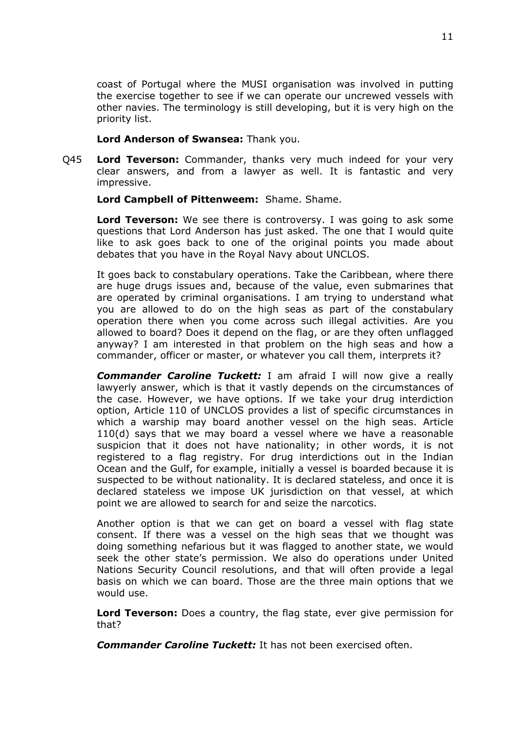coast of Portugal where the MUSI organisation was involved in putting the exercise together to see if we can operate our uncrewed vessels with other navies. The terminology is still developing, but it is very high on the priority list.

#### **Lord Anderson of Swansea:** Thank you.

Q45 **Lord Teverson:** Commander, thanks very much indeed for your very clear answers, and from a lawyer as well. It is fantastic and very impressive.

**Lord Campbell of Pittenweem:** Shame. Shame.

**Lord Teverson:** We see there is controversy. I was going to ask some questions that Lord Anderson has just asked. The one that I would quite like to ask goes back to one of the original points you made about debates that you have in the Royal Navy about UNCLOS.

It goes back to constabulary operations. Take the Caribbean, where there are huge drugs issues and, because of the value, even submarines that are operated by criminal organisations. I am trying to understand what you are allowed to do on the high seas as part of the constabulary operation there when you come across such illegal activities. Are you allowed to board? Does it depend on the flag, or are they often unflagged anyway? I am interested in that problem on the high seas and how a commander, officer or master, or whatever you call them, interprets it?

*Commander Caroline Tuckett:* I am afraid I will now give a really lawyerly answer, which is that it vastly depends on the circumstances of the case. However, we have options. If we take your drug interdiction option, Article 110 of UNCLOS provides a list of specific circumstances in which a warship may board another vessel on the high seas. Article 110(d) says that we may board a vessel where we have a reasonable suspicion that it does not have nationality; in other words, it is not registered to a flag registry. For drug interdictions out in the Indian Ocean and the Gulf, for example, initially a vessel is boarded because it is suspected to be without nationality. It is declared stateless, and once it is declared stateless we impose UK jurisdiction on that vessel, at which point we are allowed to search for and seize the narcotics.

Another option is that we can get on board a vessel with flag state consent. If there was a vessel on the high seas that we thought was doing something nefarious but it was flagged to another state, we would seek the other state's permission. We also do operations under United Nations Security Council resolutions, and that will often provide a legal basis on which we can board. Those are the three main options that we would use.

**Lord Teverson:** Does a country, the flag state, ever give permission for that?

*Commander Caroline Tuckett:* It has not been exercised often.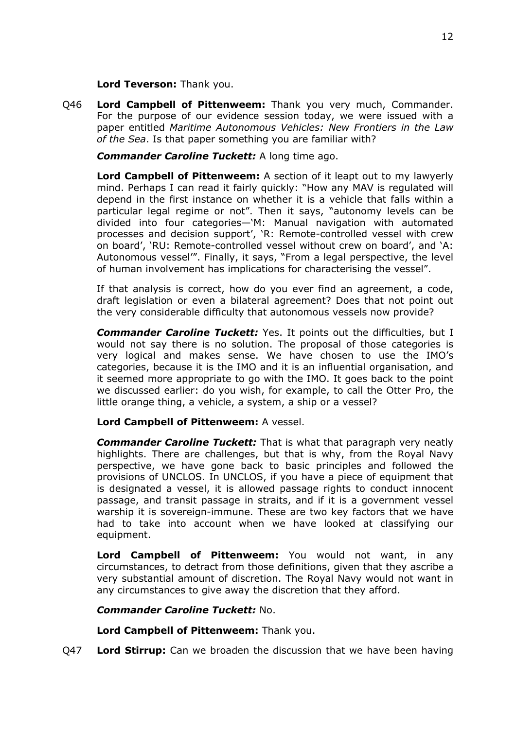**Lord Teverson:** Thank you.

Q46 **Lord Campbell of Pittenweem:** Thank you very much, Commander. For the purpose of our evidence session today, we were issued with a paper entitled *Maritime Autonomous Vehicles: New Frontiers in the Law of the Sea*. Is that paper something you are familiar with?

*Commander Caroline Tuckett:* A long time ago.

**Lord Campbell of Pittenweem:** A section of it leapt out to my lawyerly mind. Perhaps I can read it fairly quickly: "How any MAV is regulated will depend in the first instance on whether it is a vehicle that falls within a particular legal regime or not". Then it says, "autonomy levels can be divided into four categories—'M: Manual navigation with automated processes and decision support', 'R: Remote-controlled vessel with crew on board', 'RU: Remote-controlled vessel without crew on board', and 'A: Autonomous vessel'". Finally, it says, "From a legal perspective, the level of human involvement has implications for characterising the vessel".

If that analysis is correct, how do you ever find an agreement, a code, draft legislation or even a bilateral agreement? Does that not point out the very considerable difficulty that autonomous vessels now provide?

*Commander Caroline Tuckett:* Yes. It points out the difficulties, but I would not say there is no solution. The proposal of those categories is very logical and makes sense. We have chosen to use the IMO's categories, because it is the IMO and it is an influential organisation, and it seemed more appropriate to go with the IMO. It goes back to the point we discussed earlier: do you wish, for example, to call the Otter Pro, the little orange thing, a vehicle, a system, a ship or a vessel?

## **Lord Campbell of Pittenweem:** A vessel.

*Commander Caroline Tuckett:* That is what that paragraph very neatly highlights. There are challenges, but that is why, from the Royal Navy perspective, we have gone back to basic principles and followed the provisions of UNCLOS. In UNCLOS, if you have a piece of equipment that is designated a vessel, it is allowed passage rights to conduct innocent passage, and transit passage in straits, and if it is a government vessel warship it is sovereign-immune. These are two key factors that we have had to take into account when we have looked at classifying our equipment.

**Lord Campbell of Pittenweem:** You would not want, in any circumstances, to detract from those definitions, given that they ascribe a very substantial amount of discretion. The Royal Navy would not want in any circumstances to give away the discretion that they afford.

## *Commander Caroline Tuckett:* No.

**Lord Campbell of Pittenweem:** Thank you.

Q47 **Lord Stirrup:** Can we broaden the discussion that we have been having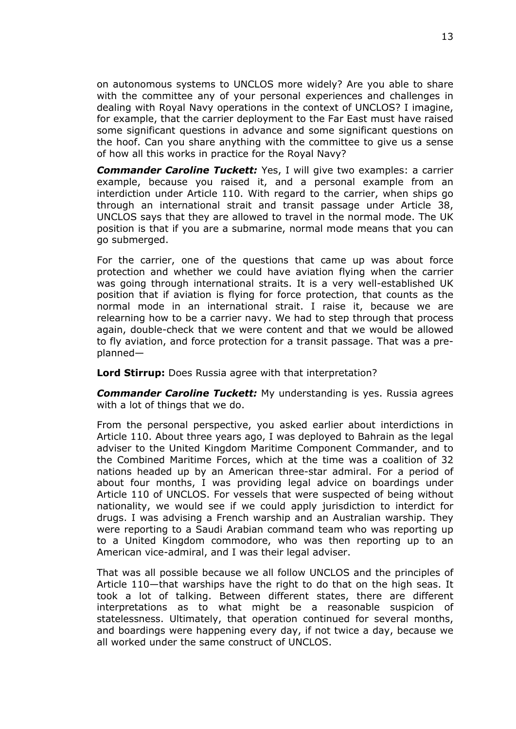on autonomous systems to UNCLOS more widely? Are you able to share with the committee any of your personal experiences and challenges in dealing with Royal Navy operations in the context of UNCLOS? I imagine, for example, that the carrier deployment to the Far East must have raised some significant questions in advance and some significant questions on the hoof. Can you share anything with the committee to give us a sense of how all this works in practice for the Royal Navy?

*Commander Caroline Tuckett:* Yes, I will give two examples: a carrier example, because you raised it, and a personal example from an interdiction under Article 110. With regard to the carrier, when ships go through an international strait and transit passage under Article 38, UNCLOS says that they are allowed to travel in the normal mode. The UK position is that if you are a submarine, normal mode means that you can go submerged.

For the carrier, one of the questions that came up was about force protection and whether we could have aviation flying when the carrier was going through international straits. It is a very well-established UK position that if aviation is flying for force protection, that counts as the normal mode in an international strait. I raise it, because we are relearning how to be a carrier navy. We had to step through that process again, double-check that we were content and that we would be allowed to fly aviation, and force protection for a transit passage. That was a preplanned—

**Lord Stirrup:** Does Russia agree with that interpretation?

*Commander Caroline Tuckett:* My understanding is yes. Russia agrees with a lot of things that we do.

From the personal perspective, you asked earlier about interdictions in Article 110. About three years ago, I was deployed to Bahrain as the legal adviser to the United Kingdom Maritime Component Commander, and to the Combined Maritime Forces, which at the time was a coalition of 32 nations headed up by an American three-star admiral. For a period of about four months, I was providing legal advice on boardings under Article 110 of UNCLOS. For vessels that were suspected of being without nationality, we would see if we could apply jurisdiction to interdict for drugs. I was advising a French warship and an Australian warship. They were reporting to a Saudi Arabian command team who was reporting up to a United Kingdom commodore, who was then reporting up to an American vice-admiral, and I was their legal adviser.

That was all possible because we all follow UNCLOS and the principles of Article 110—that warships have the right to do that on the high seas. It took a lot of talking. Between different states, there are different interpretations as to what might be a reasonable suspicion of statelessness. Ultimately, that operation continued for several months, and boardings were happening every day, if not twice a day, because we all worked under the same construct of UNCLOS.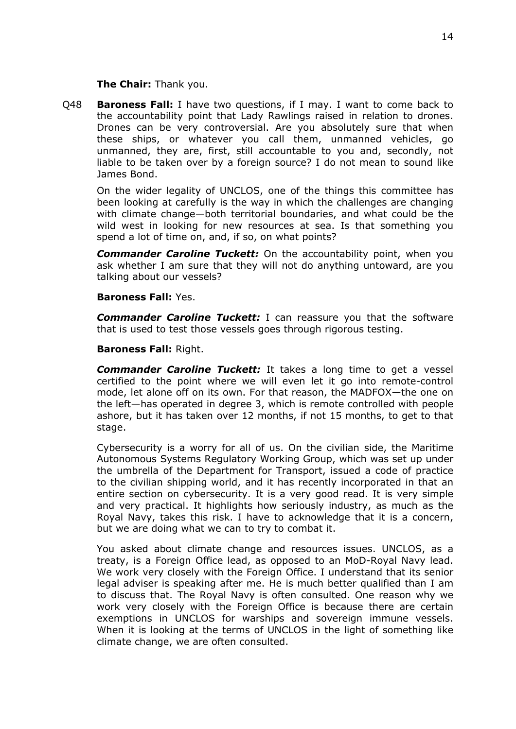**The Chair:** Thank you.

Q48 **Baroness Fall:** I have two questions, if I may. I want to come back to the accountability point that Lady Rawlings raised in relation to drones. Drones can be very controversial. Are you absolutely sure that when these ships, or whatever you call them, unmanned vehicles, go unmanned, they are, first, still accountable to you and, secondly, not liable to be taken over by a foreign source? I do not mean to sound like James Bond.

On the wider legality of UNCLOS, one of the things this committee has been looking at carefully is the way in which the challenges are changing with climate change—both territorial boundaries, and what could be the wild west in looking for new resources at sea. Is that something you spend a lot of time on, and, if so, on what points?

*Commander Caroline Tuckett:* On the accountability point, when you ask whether I am sure that they will not do anything untoward, are you talking about our vessels?

#### **Baroness Fall:** Yes.

*Commander Caroline Tuckett:* I can reassure you that the software that is used to test those vessels goes through rigorous testing.

#### **Baroness Fall:** Right.

*Commander Caroline Tuckett:* It takes a long time to get a vessel certified to the point where we will even let it go into remote-control mode, let alone off on its own. For that reason, the MADFOX—the one on the left—has operated in degree 3, which is remote controlled with people ashore, but it has taken over 12 months, if not 15 months, to get to that stage.

Cybersecurity is a worry for all of us. On the civilian side, the Maritime Autonomous Systems Regulatory Working Group, which was set up under the umbrella of the Department for Transport, issued a code of practice to the civilian shipping world, and it has recently incorporated in that an entire section on cybersecurity. It is a very good read. It is very simple and very practical. It highlights how seriously industry, as much as the Royal Navy, takes this risk. I have to acknowledge that it is a concern, but we are doing what we can to try to combat it.

You asked about climate change and resources issues. UNCLOS, as a treaty, is a Foreign Office lead, as opposed to an MoD-Royal Navy lead. We work very closely with the Foreign Office. I understand that its senior legal adviser is speaking after me. He is much better qualified than I am to discuss that. The Royal Navy is often consulted. One reason why we work very closely with the Foreign Office is because there are certain exemptions in UNCLOS for warships and sovereign immune vessels. When it is looking at the terms of UNCLOS in the light of something like climate change, we are often consulted.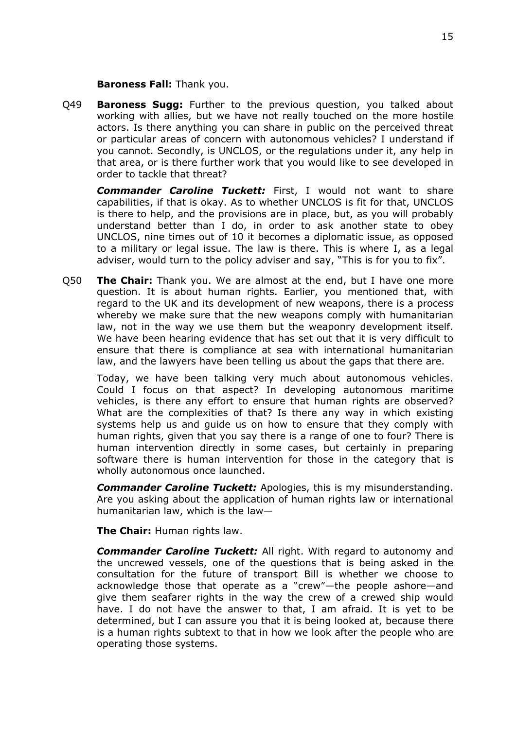#### **Baroness Fall:** Thank you.

Q49 **Baroness Sugg:** Further to the previous question, you talked about working with allies, but we have not really touched on the more hostile actors. Is there anything you can share in public on the perceived threat or particular areas of concern with autonomous vehicles? I understand if you cannot. Secondly, is UNCLOS, or the regulations under it, any help in that area, or is there further work that you would like to see developed in order to tackle that threat?

*Commander Caroline Tuckett:* First, I would not want to share capabilities, if that is okay. As to whether UNCLOS is fit for that, UNCLOS is there to help, and the provisions are in place, but, as you will probably understand better than I do, in order to ask another state to obey UNCLOS, nine times out of 10 it becomes a diplomatic issue, as opposed to a military or legal issue. The law is there. This is where I, as a legal adviser, would turn to the policy adviser and say, "This is for you to fix".

Q50 **The Chair:** Thank you. We are almost at the end, but I have one more question. It is about human rights. Earlier, you mentioned that, with regard to the UK and its development of new weapons, there is a process whereby we make sure that the new weapons comply with humanitarian law, not in the way we use them but the weaponry development itself. We have been hearing evidence that has set out that it is very difficult to ensure that there is compliance at sea with international humanitarian law, and the lawyers have been telling us about the gaps that there are.

Today, we have been talking very much about autonomous vehicles. Could I focus on that aspect? In developing autonomous maritime vehicles, is there any effort to ensure that human rights are observed? What are the complexities of that? Is there any way in which existing systems help us and guide us on how to ensure that they comply with human rights, given that you say there is a range of one to four? There is human intervention directly in some cases, but certainly in preparing software there is human intervention for those in the category that is wholly autonomous once launched.

*Commander Caroline Tuckett:* Apologies, this is my misunderstanding. Are you asking about the application of human rights law or international humanitarian law, which is the law—

**The Chair:** Human rights law.

*Commander Caroline Tuckett:* All right. With regard to autonomy and the uncrewed vessels, one of the questions that is being asked in the consultation for the future of transport Bill is whether we choose to acknowledge those that operate as a "crew"—the people ashore—and give them seafarer rights in the way the crew of a crewed ship would have. I do not have the answer to that, I am afraid. It is yet to be determined, but I can assure you that it is being looked at, because there is a human rights subtext to that in how we look after the people who are operating those systems.